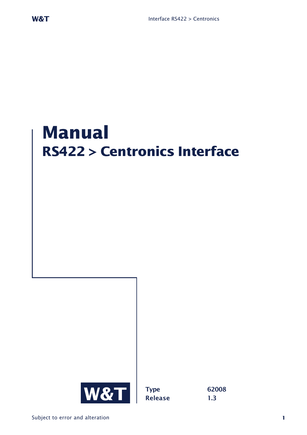# **Manual RS422 > Centronics Interface**

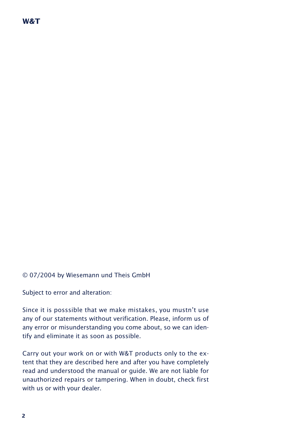## **W&T**

© 07/2004 by Wiesemann und Theis GmbH

Subject to error and alteration:

Since it is posssible that we make mistakes, you mustn't use any of our statements without verification. Please, inform us of any error or misunderstanding you come about, so we can identify and eliminate it as soon as possible.

Carry out your work on or with W&T products only to the extent that they are described here and after you have completely read and understood the manual or guide. We are not liable for unauthorized repairs or tampering. When in doubt, check first with us or with your dealer.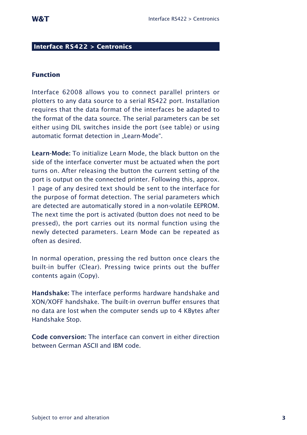### **Interface RS422 > Centronics**

#### **Function**

Interface 62008 allows you to connect parallel printers or plotters to any data source to a serial RS422 port. Installation requires that the data format of the interfaces be adapted to the format of the data source. The serial parameters can be set either using DIL switches inside the port (see table) or using automatic format detection in "Learn-Mode".

**Learn-Mode:** To initialize Learn Mode, the black button on the side of the interface converter must be actuated when the port turns on. After releasing the button the current setting of the port is output on the connected printer. Following this, approx. 1 page of any desired text should be sent to the interface for the purpose of format detection. The serial parameters which are detected are automatically stored in a non-volatile EEPROM. The next time the port is activated (button does not need to be pressed), the port carries out its normal function using the newly detected parameters. Learn Mode can be repeated as often as desired.

In normal operation, pressing the red button once clears the built-in buffer (Clear). Pressing twice prints out the buffer contents again (Copy).

**Handshake:** The interface performs hardware handshake and XON/XOFF handshake. The built-in overrun buffer ensures that no data are lost when the computer sends up to 4 KBytes after Handshake Stop.

**Code conversion:** The interface can convert in either direction between German ASCII and IBM code.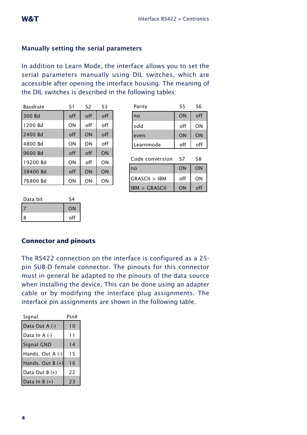# **Manually setting the serial parameters**

In addition to Learn Mode, the interface allows you to set the serial parameters manually using DIL switches, which are accessible after opening the interface housing. The meaning of the DIL switches is described in the following tables:

| Baudrate | S1  | S <sub>2</sub> | S3  |
|----------|-----|----------------|-----|
| 300 Bd   | off | off            | off |
| 1200 Bd  | ON  | off            | off |
| 2400 Bd  | off | ON             | off |
| 4800 Bd  | ON  | ON             | off |
| 9600 Bd  | off | off            | ON  |
| 19200 Bd | ON  | off            | ON  |
| 38400 Bd | off | ON             | ON  |
| 76800 Bd | ON  | ON             | ΟN  |

| Parity     | S5        | S6        |
|------------|-----------|-----------|
| <u>Ino</u> | <b>ON</b> | off       |
| lodd       | off       | ΟN        |
| leven      | ON        | <b>ON</b> |
| Learnmode  | off       | off       |

| Code conversion         | ۲7        | ۲8       |
|-------------------------|-----------|----------|
| no                      | <b>ON</b> | ON       |
| GRASCII > IBM           | off       | ΟN       |
| <b>IBM &gt; GRASCII</b> | ON        | $\Omega$ |

| Data bit | $C_{\Delta}$ |
|----------|--------------|
|          | <b>ON</b>    |
| 8        | off          |

# **Connector and pinouts**

The RS422 connection on the interface is configured as a 25 pin SUB-D female connector. The pinouts for this connector must in general be adapted to the pinouts of the data source when installing the device. This can be done using an adapter cable or by modifying the interface plug assignments. The interface pin assignments are shown in the following table.

| Signal             | Pin# |
|--------------------|------|
| Data Out A (-)     | 10   |
| Data In A (-)      | 11   |
| Signal GND         | 14   |
| Hands. Out A (-)   | 15   |
| Hands. Out $B (+)$ | 16   |
| Data Out B (+)     | 22   |
| Data In B $(+)$    | 23   |